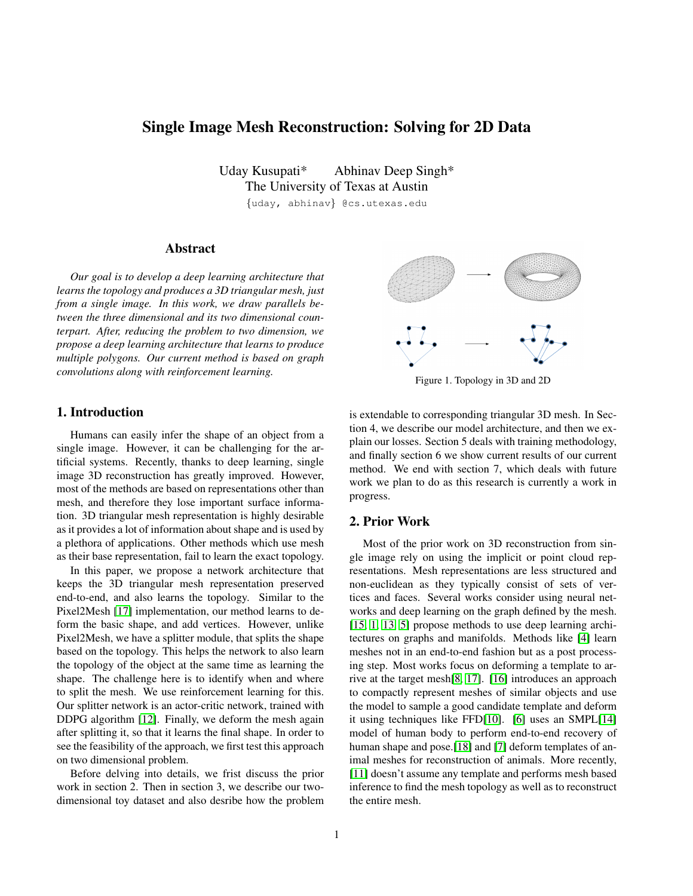# Single Image Mesh Reconstruction: Solving for 2D Data

Uday Kusupati<sup>\*</sup> Abhinay Deep Singh<sup>\*</sup> The University of Texas at Austin

{uday, abhinav} @cs.utexas.edu

## Abstract

*Our goal is to develop a deep learning architecture that learns the topology and produces a 3D triangular mesh, just from a single image. In this work, we draw parallels between the three dimensional and its two dimensional counterpart. After, reducing the problem to two dimension, we propose a deep learning architecture that learns to produce multiple polygons. Our current method is based on graph convolutions along with reinforcement learning.*

### 1. Introduction

Humans can easily infer the shape of an object from a single image. However, it can be challenging for the artificial systems. Recently, thanks to deep learning, single image 3D reconstruction has greatly improved. However, most of the methods are based on representations other than mesh, and therefore they lose important surface information. 3D triangular mesh representation is highly desirable as it provides a lot of information about shape and is used by a plethora of applications. Other methods which use mesh as their base representation, fail to learn the exact topology.

In this paper, we propose a network architecture that keeps the 3D triangular mesh representation preserved end-to-end, and also learns the topology. Similar to the Pixel2Mesh [\[17\]](#page-5-0) implementation, our method learns to deform the basic shape, and add vertices. However, unlike Pixel2Mesh, we have a splitter module, that splits the shape based on the topology. This helps the network to also learn the topology of the object at the same time as learning the shape. The challenge here is to identify when and where to split the mesh. We use reinforcement learning for this. Our splitter network is an actor-critic network, trained with DDPG algorithm [\[12\]](#page-5-1). Finally, we deform the mesh again after splitting it, so that it learns the final shape. In order to see the feasibility of the approach, we first test this approach on two dimensional problem.

Before delving into details, we frist discuss the prior work in section 2. Then in section 3, we describe our twodimensional toy dataset and also desribe how the problem



<span id="page-0-0"></span>Figure 1. Topology in 3D and 2D

is extendable to corresponding triangular 3D mesh. In Section 4, we describe our model architecture, and then we explain our losses. Section 5 deals with training methodology, and finally section 6 we show current results of our current method. We end with section 7, which deals with future work we plan to do as this research is currently a work in progress.

# 2. Prior Work

Most of the prior work on 3D reconstruction from single image rely on using the implicit or point cloud representations. Mesh representations are less structured and non-euclidean as they typically consist of sets of vertices and faces. Several works consider using neural networks and deep learning on the graph defined by the mesh. [\[15,](#page-5-2) [1,](#page-5-3) [13,](#page-5-4) [5\]](#page-5-5) propose methods to use deep learning architectures on graphs and manifolds. Methods like [\[4\]](#page-5-6) learn meshes not in an end-to-end fashion but as a post processing step. Most works focus on deforming a template to arrive at the target mesh[\[8,](#page-5-7) [17\]](#page-5-0). [\[16\]](#page-5-8) introduces an approach to compactly represent meshes of similar objects and use the model to sample a good candidate template and deform it using techniques like FFD[\[10\]](#page-5-9). [\[6\]](#page-5-10) uses an SMPL[\[14\]](#page-5-11) model of human body to perform end-to-end recovery of human shape and pose.[\[18\]](#page-5-12) and [\[7\]](#page-5-13) deform templates of animal meshes for reconstruction of animals. More recently, [\[11\]](#page-5-14) doesn't assume any template and performs mesh based inference to find the mesh topology as well as to reconstruct the entire mesh.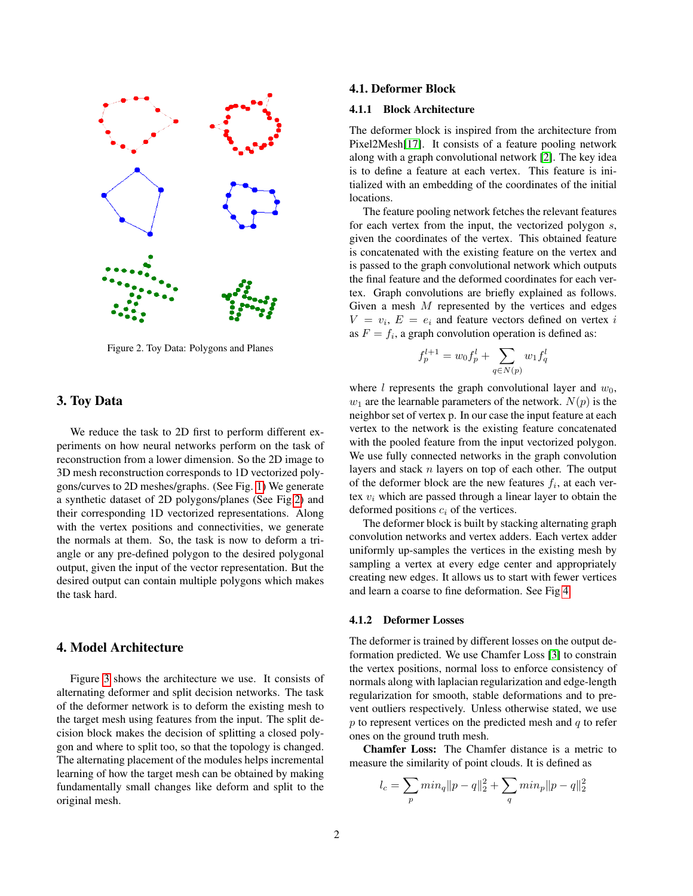

<span id="page-1-0"></span>Figure 2. Toy Data: Polygons and Planes

### 3. Toy Data

We reduce the task to 2D first to perform different experiments on how neural networks perform on the task of reconstruction from a lower dimension. So the 2D image to 3D mesh reconstruction corresponds to 1D vectorized polygons/curves to 2D meshes/graphs. (See Fig. [1\)](#page-0-0) We generate a synthetic dataset of 2D polygons/planes (See Fig[.2\)](#page-1-0) and their corresponding 1D vectorized representations. Along with the vertex positions and connectivities, we generate the normals at them. So, the task is now to deform a triangle or any pre-defined polygon to the desired polygonal output, given the input of the vector representation. But the desired output can contain multiple polygons which makes the task hard.

# 4. Model Architecture

Figure [3](#page-2-0) shows the architecture we use. It consists of alternating deformer and split decision networks. The task of the deformer network is to deform the existing mesh to the target mesh using features from the input. The split decision block makes the decision of splitting a closed polygon and where to split too, so that the topology is changed. The alternating placement of the modules helps incremental learning of how the target mesh can be obtained by making fundamentally small changes like deform and split to the original mesh.

#### 4.1. Deformer Block

#### 4.1.1 Block Architecture

The deformer block is inspired from the architecture from Pixel2Mesh[\[17\]](#page-5-0). It consists of a feature pooling network along with a graph convolutional network [\[2\]](#page-5-15). The key idea is to define a feature at each vertex. This feature is initialized with an embedding of the coordinates of the initial locations.

The feature pooling network fetches the relevant features for each vertex from the input, the vectorized polygon s, given the coordinates of the vertex. This obtained feature is concatenated with the existing feature on the vertex and is passed to the graph convolutional network which outputs the final feature and the deformed coordinates for each vertex. Graph convolutions are briefly explained as follows. Given a mesh  $M$  represented by the vertices and edges  $V = v_i, E = e_i$  and feature vectors defined on vertex i as  $F = f_i$ , a graph convolution operation is defined as:

$$
f_p^{l+1} = w_0 f_p^l + \sum_{q \in N(p)} w_1 f_q^l
$$

where l represents the graph convolutional layer and  $w_0$ ,  $w_1$  are the learnable parameters of the network.  $N(p)$  is the neighbor set of vertex p. In our case the input feature at each vertex to the network is the existing feature concatenated with the pooled feature from the input vectorized polygon. We use fully connected networks in the graph convolution layers and stack  $n$  layers on top of each other. The output of the deformer block are the new features  $f_i$ , at each vertex  $v_i$  which are passed through a linear layer to obtain the deformed positions  $c_i$  of the vertices.

The deformer block is built by stacking alternating graph convolution networks and vertex adders. Each vertex adder uniformly up-samples the vertices in the existing mesh by sampling a vertex at every edge center and appropriately creating new edges. It allows us to start with fewer vertices and learn a coarse to fine deformation. See Fig [4.](#page-2-1)

#### 4.1.2 Deformer Losses

The deformer is trained by different losses on the output deformation predicted. We use Chamfer Loss [\[3\]](#page-5-16) to constrain the vertex positions, normal loss to enforce consistency of normals along with laplacian regularization and edge-length regularization for smooth, stable deformations and to prevent outliers respectively. Unless otherwise stated, we use  $p$  to represent vertices on the predicted mesh and  $q$  to refer ones on the ground truth mesh.

Chamfer Loss: The Chamfer distance is a metric to measure the similarity of point clouds. It is defined as

$$
l_c = \sum_p min_q ||p - q||_2^2 + \sum_q min_p ||p - q||_2^2
$$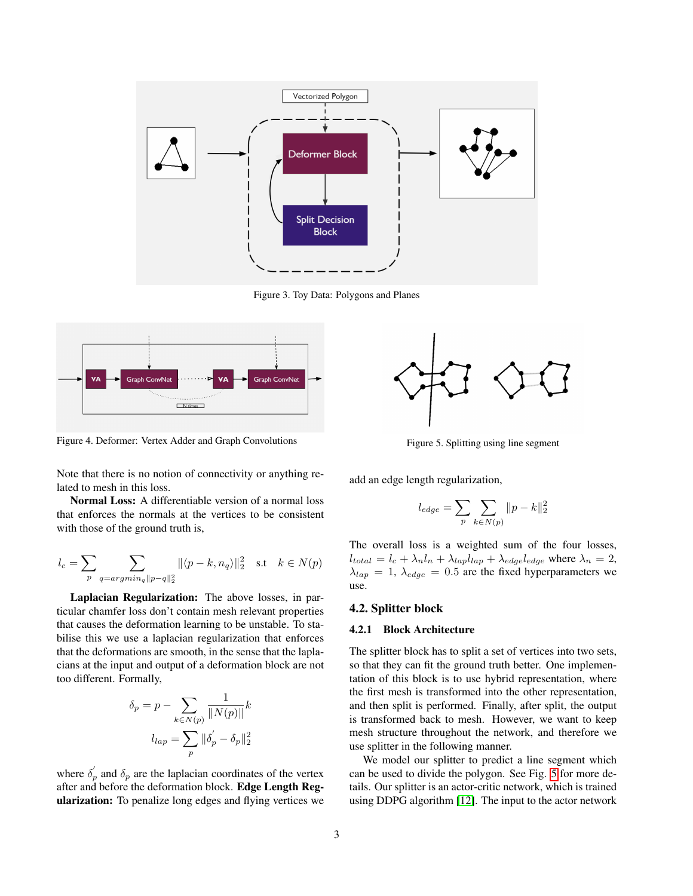

<span id="page-2-0"></span>Figure 3. Toy Data: Polygons and Planes



<span id="page-2-1"></span>Figure 4. Deformer: Vertex Adder and Graph Convolutions

Note that there is no notion of connectivity or anything related to mesh in this loss.

Normal Loss: A differentiable version of a normal loss that enforces the normals at the vertices to be consistent with those of the ground truth is,

$$
l_c = \sum_p \sum_{q = argmin_q ||p-q||_2^2} \|\langle p-k, n_q \rangle\|_2^2 \quad \text{s.t} \quad k \in N(p)
$$

Laplacian Regularization: The above losses, in particular chamfer loss don't contain mesh relevant properties that causes the deformation learning to be unstable. To stabilise this we use a laplacian regularization that enforces that the deformations are smooth, in the sense that the laplacians at the input and output of a deformation block are not too different. Formally,

$$
\delta_p = p - \sum_{k \in N(p)} \frac{1}{\|N(p)\|} k
$$

$$
l_{lap} = \sum_p \|\delta_p' - \delta_p\|_2^2
$$

where  $\delta_p'$  and  $\delta_p$  are the laplacian coordinates of the vertex after and before the deformation block. Edge Length Regularization: To penalize long edges and flying vertices we



<span id="page-2-2"></span>Figure 5. Splitting using line segment

add an edge length regularization,

$$
l_{edge} = \sum_{p} \sum_{k \in N(p)} ||p - k||_2^2
$$

The overall loss is a weighted sum of the four losses,  $l_{total} = l_c + \lambda_n l_n + \lambda_{lap} l_{lap} + \lambda_{edge} l_{edge}$  where  $\lambda_n = 2$ ,  $\lambda_{lap} = 1, \lambda_{edge} = 0.5$  are the fixed hyperparameters we use.

#### 4.2. Splitter block

#### 4.2.1 Block Architecture

The splitter block has to split a set of vertices into two sets, so that they can fit the ground truth better. One implementation of this block is to use hybrid representation, where the first mesh is transformed into the other representation, and then split is performed. Finally, after split, the output is transformed back to mesh. However, we want to keep mesh structure throughout the network, and therefore we use splitter in the following manner.

We model our splitter to predict a line segment which can be used to divide the polygon. See Fig. [5](#page-2-2) for more details. Our splitter is an actor-critic network, which is trained using DDPG algorithm [\[12\]](#page-5-1). The input to the actor network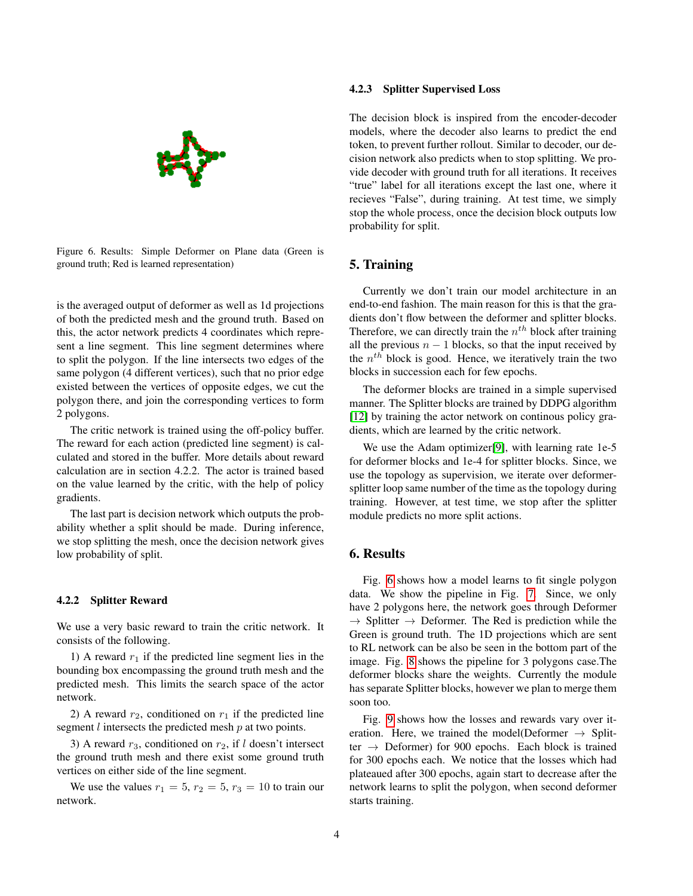

<span id="page-3-0"></span>Figure 6. Results: Simple Deformer on Plane data (Green is ground truth; Red is learned representation)

is the averaged output of deformer as well as 1d projections of both the predicted mesh and the ground truth. Based on this, the actor network predicts 4 coordinates which represent a line segment. This line segment determines where to split the polygon. If the line intersects two edges of the same polygon (4 different vertices), such that no prior edge existed between the vertices of opposite edges, we cut the polygon there, and join the corresponding vertices to form 2 polygons.

The critic network is trained using the off-policy buffer. The reward for each action (predicted line segment) is calculated and stored in the buffer. More details about reward calculation are in section 4.2.2. The actor is trained based on the value learned by the critic, with the help of policy gradients.

The last part is decision network which outputs the probability whether a split should be made. During inference, we stop splitting the mesh, once the decision network gives low probability of split.

#### 4.2.2 Splitter Reward

We use a very basic reward to train the critic network. It consists of the following.

1) A reward  $r_1$  if the predicted line segment lies in the bounding box encompassing the ground truth mesh and the predicted mesh. This limits the search space of the actor network.

2) A reward  $r_2$ , conditioned on  $r_1$  if the predicted line segment  $l$  intersects the predicted mesh  $p$  at two points.

3) A reward  $r_3$ , conditioned on  $r_2$ , if l doesn't intersect the ground truth mesh and there exist some ground truth vertices on either side of the line segment.

We use the values  $r_1 = 5$ ,  $r_2 = 5$ ,  $r_3 = 10$  to train our network.

#### 4.2.3 Splitter Supervised Loss

The decision block is inspired from the encoder-decoder models, where the decoder also learns to predict the end token, to prevent further rollout. Similar to decoder, our decision network also predicts when to stop splitting. We provide decoder with ground truth for all iterations. It receives "true" label for all iterations except the last one, where it recieves "False", during training. At test time, we simply stop the whole process, once the decision block outputs low probability for split.

### 5. Training

Currently we don't train our model architecture in an end-to-end fashion. The main reason for this is that the gradients don't flow between the deformer and splitter blocks. Therefore, we can directly train the  $n^{th}$  block after training all the previous  $n - 1$  blocks, so that the input received by the  $n^{th}$  block is good. Hence, we iteratively train the two blocks in succession each for few epochs.

The deformer blocks are trained in a simple supervised manner. The Splitter blocks are trained by DDPG algorithm [\[12\]](#page-5-1) by training the actor network on continous policy gradients, which are learned by the critic network.

We use the Adam optimizer[\[9\]](#page-5-17), with learning rate 1e-5 for deformer blocks and 1e-4 for splitter blocks. Since, we use the topology as supervision, we iterate over deformersplitter loop same number of the time as the topology during training. However, at test time, we stop after the splitter module predicts no more split actions.

## 6. Results

Fig. [6](#page-3-0) shows how a model learns to fit single polygon data. We show the pipeline in Fig. [7.](#page-4-0) Since, we only have 2 polygons here, the network goes through Deformer  $\rightarrow$  Splitter  $\rightarrow$  Deformer. The Red is prediction while the Green is ground truth. The 1D projections which are sent to RL network can be also be seen in the bottom part of the image. Fig. [8](#page-4-1) shows the pipeline for 3 polygons case.The deformer blocks share the weights. Currently the module has separate Splitter blocks, however we plan to merge them soon too.

Fig. [9](#page-5-18) shows how the losses and rewards vary over iteration. Here, we trained the model(Deformer  $\rightarrow$  Splitter  $\rightarrow$  Deformer) for 900 epochs. Each block is trained for 300 epochs each. We notice that the losses which had plateaued after 300 epochs, again start to decrease after the network learns to split the polygon, when second deformer starts training.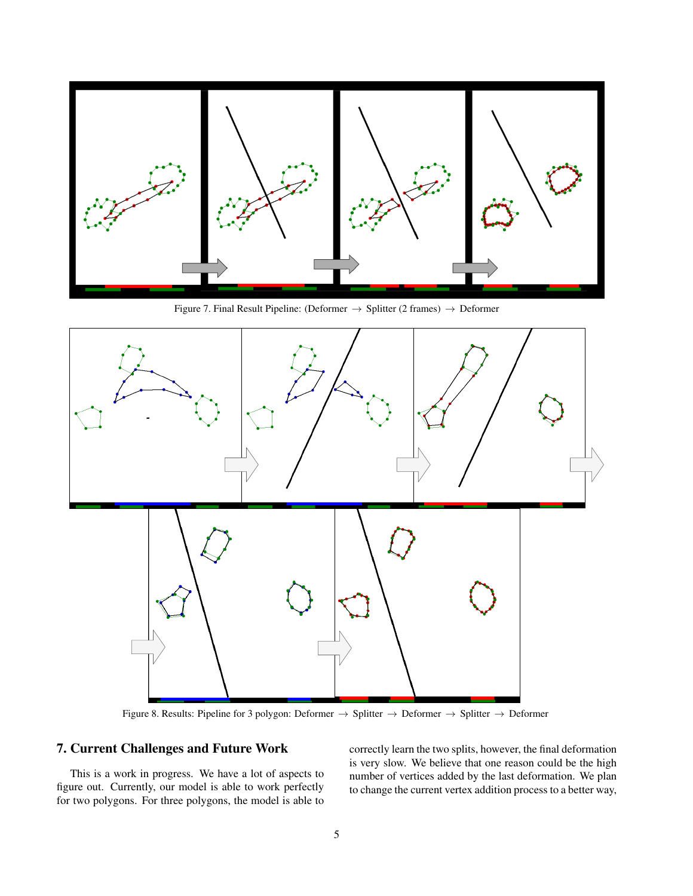

<span id="page-4-0"></span>Figure 7. Final Result Pipeline: (Deformer → Splitter (2 frames) → Deformer



<span id="page-4-1"></span>Figure 8. Results: Pipeline for 3 polygon: Deformer → Splitter → Deformer → Splitter → Deformer

# 7. Current Challenges and Future Work

This is a work in progress. We have a lot of aspects to figure out. Currently, our model is able to work perfectly for two polygons. For three polygons, the model is able to correctly learn the two splits, however, the final deformation is very slow. We believe that one reason could be the high number of vertices added by the last deformation. We plan to change the current vertex addition process to a better way,